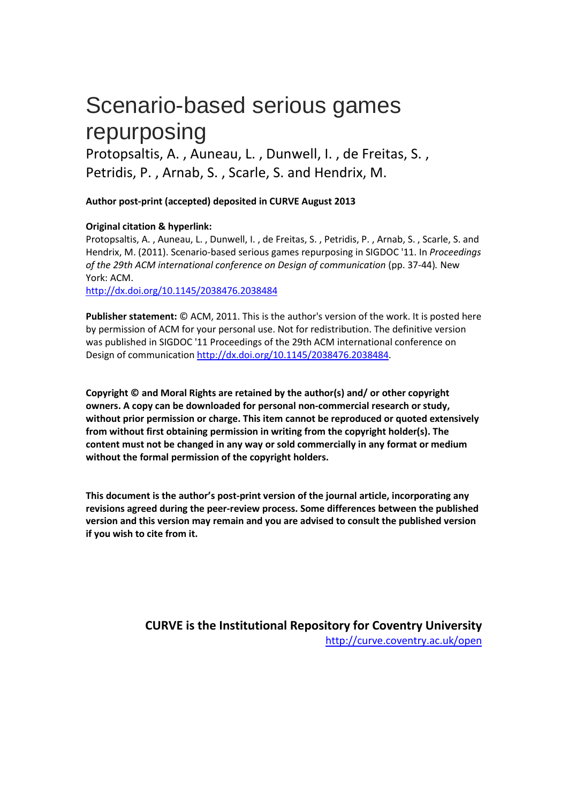# Scenario-based serious games repurposing

Protopsaltis, A. , Auneau, L. , Dunwell, I. , de Freitas, S. , Petridis, P. , Arnab, S. , Scarle, S. and Hendrix, M.

**Author post-print (accepted) deposited in CURVE August 2013**

# **Original citation & hyperlink:**

Protopsaltis, A. , Auneau, L. , Dunwell, I. , de Freitas, S. , Petridis, P. , Arnab, S. , Scarle, S. and Hendrix, M. (2011). Scenario-based serious games repurposing in SIGDOC '11. In *Proceedings of the 29th ACM international conference on Design of communication* (pp. 37-44)*.* New York: ACM.

<http://dx.doi.org/10.1145/2038476.2038484>

**Publisher statement:** © ACM, 2011. This is the author's version of the work. It is posted here by permission of ACM for your personal use. Not for redistribution. The definitive version was published in SIGDOC '11 Proceedings of the 29th ACM international conference on Design of communicatio[n http://dx.doi.org/10.1145/2038476.2038484.](http://dx.doi.org/10.1145/2038476.2038484)

**Copyright © and Moral Rights are retained by the author(s) and/ or other copyright owners. A copy can be downloaded for personal non-commercial research or study, without prior permission or charge. This item cannot be reproduced or quoted extensively from without first obtaining permission in writing from the copyright holder(s). The content must not be changed in any way or sold commercially in any format or medium without the formal permission of the copyright holders.** 

**This document is the author's post-print version of the journal article, incorporating any revisions agreed during the peer-review process. Some differences between the published version and this version may remain and you are advised to consult the published version if you wish to cite from it.** 

> **CURVE is the Institutional Repository for Coventry University** <http://curve.coventry.ac.uk/open>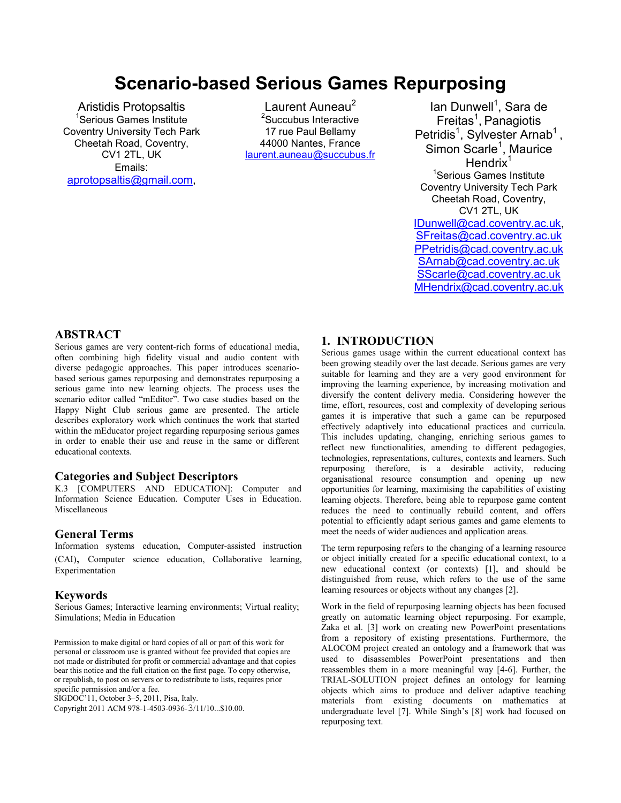# **Scenario-based Serious Games Repurposing**

Aristidis Protopsaltis 1 Serious Games Institute Coventry University Tech Park Cheetah Road, Coventry, CV1 2TL, UK Emails: [aprotopsaltis@gmail.com](mailto:aprotopsaltis@gmail.com),

Laurent Auneau<sup>2</sup> <sup>2</sup>Succubus Interactive 17 rue Paul Bellamy 44000 Nantes, France [laurent.auneau@succubus.fr](mailto:laurent.auneau@succubus.fr)

lan Dunwell<sup>1</sup>, Sara de Freitas<sup>1</sup>, Panagiotis Petridis<sup>1</sup>, Sylvester Arnab<sup>1</sup>, Simon Scarle<sup>1</sup>, Maurice Hendrix<sup>1</sup> 1 Serious Games Institute Coventry University Tech Park Cheetah Road, Coventry, CV1 2TL, UK [IDunwell@cad.coventry.ac.uk,](mailto:IDunwell@cad.coventry.ac.uk) [SFreitas@cad.coventry.ac.uk](mailto:SFreitas@cad.coventry.ac.uk) [PPetridis@cad.coventry.ac.uk](mailto:PPetridis@cad.coventry.ac.uk) [SArnab@cad.coventry.ac.uk](mailto:SArnab@cad.coventry.ac.uk) [SScarle@cad.coventry.ac.uk](mailto:SScarle@cad.coventry.ac.uk)  [MHendrix@cad.coventry.ac.uk](mailto:MHendrix@cad.coventry.ac.uk) 

#### **ABSTRACT**

Serious games are very content-rich forms of educational media, often combining high fidelity visual and audio content with diverse pedagogic approaches. This paper introduces scenariobased serious games repurposing and demonstrates repurposing a serious game into new learning objects. The process uses the scenario editor called "mEditor". Two case studies based on the Happy Night Club serious game are presented. The article describes exploratory work which continues the work that started within the mEducator project regarding repurposing serious games in order to enable their use and reuse in the same or different educational contexts.

#### **Categories and Subject Descriptors**

K.3 [COMPUTERS AND EDUCATION]: Computer and Information Science Education. Computer Uses in Education. Miscellaneous

# **General Terms**

Information systems education, Computer-assisted instruction (CAI), Computer science education, Collaborative learning, Experimentation

#### **Keywords**

Serious Games; Interactive learning environments; Virtual reality; Simulations; Media in Education

Permission to make digital or hard copies of all or part of this work for personal or classroom use is granted without fee provided that copies are not made or distributed for profit or commercial advantage and that copies bear this notice and the full citation on the first page. To copy otherwise, or republish, to post on servers or to redistribute to lists, requires prior specific permission and/or a fee.

SIGDOC'11, October 3–5, 2011, Pisa, Italy.

Copyright 2011 ACM 978-1-4503-0936-3/11/10...\$10.00.

# **1. INTRODUCTION**

Serious games usage within the current educational context has been growing steadily over the last decade. Serious games are very suitable for learning and they are a very good environment for improving the learning experience, by increasing motivation and diversify the content delivery media. Considering however the time, effort, resources, cost and complexity of developing serious games it is imperative that such a game can be repurposed effectively adaptively into educational practices and curricula. This includes updating, changing, enriching serious games to reflect new functionalities, amending to different pedagogies, technologies, representations, cultures, contexts and learners. Such repurposing therefore, is a desirable activity, reducing organisational resource consumption and opening up new opportunities for learning, maximising the capabilities of existing learning objects. Therefore, being able to repurpose game content reduces the need to continually rebuild content, and offers potential to efficiently adapt serious games and game elements to meet the needs of wider audiences and application areas.

The term repurposing refers to the changing of a learning resource or object initially created for a specific educational context, to a new educational context (or contexts) [1], and should be distinguished from reuse, which refers to the use of the same learning resources or objects without any changes [2].

Work in the field of repurposing learning objects has been focused greatly on automatic learning object repurposing. For example, Zaka et al. [3] work on creating new PowerPoint presentations from a repository of existing presentations. Furthermore, the ALOCOM project created an ontology and a framework that was used to disassembles PowerPoint presentations and then reassembles them in a more meaningful way [4-6]. Further, the TRIAL-SOLUTION project defines an ontology for learning objects which aims to produce and deliver adaptive teaching materials from existing documents on mathematics at undergraduate level [7]. While Singh's [8] work had focused on repurposing text.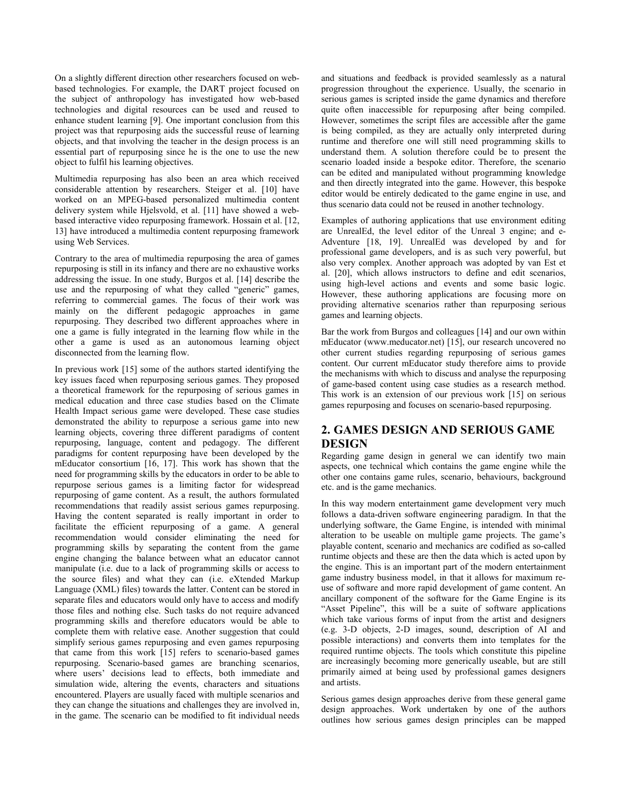On a slightly different direction other researchers focused on webbased technologies. For example, the DART project focused on the subject of anthropology has investigated how web-based technologies and digital resources can be used and reused to enhance student learning [9]. One important conclusion from this project was that repurposing aids the successful reuse of learning objects, and that involving the teacher in the design process is an essential part of repurposing since he is the one to use the new object to fulfil his learning objectives.

Multimedia repurposing has also been an area which received considerable attention by researchers. Steiger et al. [10] have worked on an MPEG-based personalized multimedia content delivery system while Hjelsvold, et al. [11] have showed a webbased interactive video repurposing framework. Hossain et al. [12, 13] have introduced a multimedia content repurposing framework using Web Services.

Contrary to the area of multimedia repurposing the area of games repurposing is still in its infancy and there are no exhaustive works addressing the issue. In one study, Burgos et al. [14] describe the use and the repurposing of what they called "generic" games, referring to commercial games. The focus of their work was mainly on the different pedagogic approaches in game repurposing. They described two different approaches where in one a game is fully integrated in the learning flow while in the other a game is used as an autonomous learning object disconnected from the learning flow.

In previous work [15] some of the authors started identifying the key issues faced when repurposing serious games. They proposed a theoretical framework for the repurposing of serious games in medical education and three case studies based on the Climate Health Impact serious game were developed. These case studies demonstrated the ability to repurpose a serious game into new learning objects, covering three different paradigms of content repurposing, language, content and pedagogy. The different paradigms for content repurposing have been developed by the mEducator consortium [16, 17]. This work has shown that the need for programming skills by the educators in order to be able to repurpose serious games is a limiting factor for widespread repurposing of game content. As a result, the authors formulated recommendations that readily assist serious games repurposing. Having the content separated is really important in order to facilitate the efficient repurposing of a game. A general recommendation would consider eliminating the need for programming skills by separating the content from the game engine changing the balance between what an educator cannot manipulate (i.e. due to a lack of programming skills or access to the source files) and what they can (i.e. eXtended Markup Language (XML) files) towards the latter. Content can be stored in separate files and educators would only have to access and modify those files and nothing else. Such tasks do not require advanced programming skills and therefore educators would be able to complete them with relative ease. Another suggestion that could simplify serious games repurposing and even games repurposing that came from this work [15] refers to scenario-based games repurposing. Scenario-based games are branching scenarios, where users' decisions lead to effects, both immediate and simulation wide, altering the events, characters and situations encountered. Players are usually faced with multiple scenarios and they can change the situations and challenges they are involved in, in the game. The scenario can be modified to fit individual needs and situations and feedback is provided seamlessly as a natural progression throughout the experience. Usually, the scenario in serious games is scripted inside the game dynamics and therefore quite often inaccessible for repurposing after being compiled. However, sometimes the script files are accessible after the game is being compiled, as they are actually only interpreted during runtime and therefore one will still need programming skills to understand them. A solution therefore could be to present the scenario loaded inside a bespoke editor. Therefore, the scenario can be edited and manipulated without programming knowledge and then directly integrated into the game. However, this bespoke editor would be entirely dedicated to the game engine in use, and thus scenario data could not be reused in another technology.

Examples of authoring applications that use environment editing are UnrealEd, the level editor of the Unreal 3 engine; and e-Adventure [18, 19]. UnrealEd was developed by and for professional game developers, and is as such very powerful, but also very complex. Another approach was adopted by van Est et al. [20], which allows instructors to define and edit scenarios, using high-level actions and events and some basic logic. However, these authoring applications are focusing more on providing alternative scenarios rather than repurposing serious games and learning objects.

Bar the work from Burgos and colleagues [14] and our own within mEducator (www.meducator.net) [15], our research uncovered no other current studies regarding repurposing of serious games content. Our current mEducator study therefore aims to provide the mechanisms with which to discuss and analyse the repurposing of game-based content using case studies as a research method. This work is an extension of our previous work [15] on serious games repurposing and focuses on scenario-based repurposing.

# **2. GAMES DESIGN AND SERIOUS GAME DESIGN**

Regarding game design in general we can identify two main aspects, one technical which contains the game engine while the other one contains game rules, scenario, behaviours, background etc. and is the game mechanics.

In this way modern entertainment game development very much follows a data-driven software engineering paradigm. In that the underlying software, the Game Engine, is intended with minimal alteration to be useable on multiple game projects. The game's playable content, scenario and mechanics are codified as so-called runtime objects and these are then the data which is acted upon by the engine. This is an important part of the modern entertainment game industry business model, in that it allows for maximum reuse of software and more rapid development of game content. An ancillary component of the software for the Game Engine is its "Asset Pipeline", this will be a suite of software applications which take various forms of input from the artist and designers (e.g. 3-D objects, 2-D images, sound, description of AI and possible interactions) and converts them into templates for the required runtime objects. The tools which constitute this pipeline are increasingly becoming more generically useable, but are still primarily aimed at being used by professional games designers and artists.

Serious games design approaches derive from these general game design approaches. Work undertaken by one of the authors outlines how serious games design principles can be mapped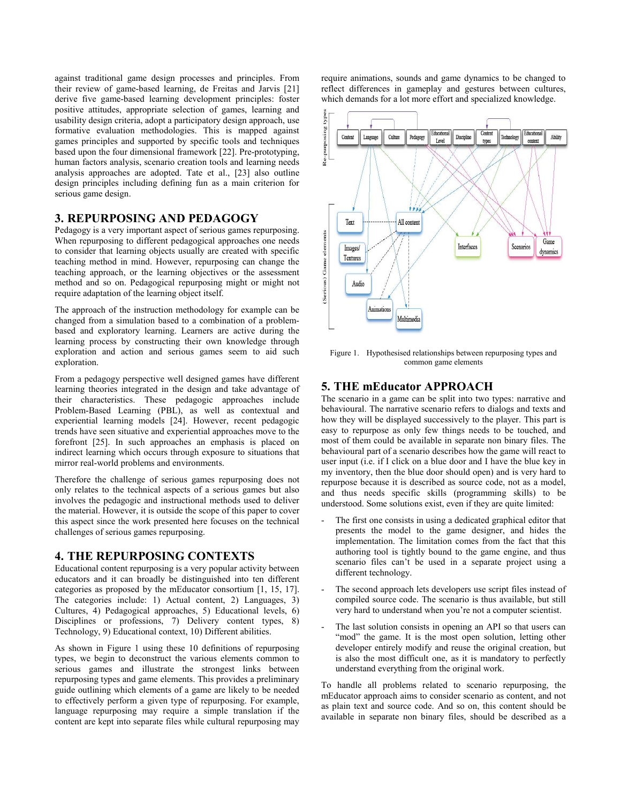against traditional game design processes and principles. From their review of game-based learning, de Freitas and Jarvis [21] derive five game-based learning development principles: foster positive attitudes, appropriate selection of games, learning and usability design criteria, adopt a participatory design approach, use formative evaluation methodologies. This is mapped against games principles and supported by specific tools and techniques based upon the four dimensional framework [22]. Pre-prototyping, human factors analysis, scenario creation tools and learning needs analysis approaches are adopted. Tate et al., [23] also outline design principles including defining fun as a main criterion for serious game design.

# **3. REPURPOSING AND PEDAGOGY**

Pedagogy is a very important aspect of serious games repurposing. When repurposing to different pedagogical approaches one needs to consider that learning objects usually are created with specific teaching method in mind. However, repurposing can change the teaching approach, or the learning objectives or the assessment method and so on. Pedagogical repurposing might or might not require adaptation of the learning object itself.

The approach of the instruction methodology for example can be changed from a simulation based to a combination of a problembased and exploratory learning. Learners are active during the learning process by constructing their own knowledge through exploration and action and serious games seem to aid such exploration.

From a pedagogy perspective well designed games have different learning theories integrated in the design and take advantage of their characteristics. These pedagogic approaches include Problem-Based Learning (PBL), as well as contextual and experiential learning models [24]. However, recent pedagogic trends have seen situative and experiential approaches move to the forefront [25]. In such approaches an emphasis is placed on indirect learning which occurs through exposure to situations that mirror real-world problems and environments.

Therefore the challenge of serious games repurposing does not only relates to the technical aspects of a serious games but also involves the pedagogic and instructional methods used to deliver the material. However, it is outside the scope of this paper to cover this aspect since the work presented here focuses on the technical challenges of serious games repurposing.

#### **4. THE REPURPOSING CONTEXTS**

Educational content repurposing is a very popular activity between educators and it can broadly be distinguished into ten different categories as proposed by the mEducator consortium [1, 15, 17]. The categories include: 1) Actual content, 2) Languages, 3) Cultures, 4) Pedagogical approaches, 5) Educational levels, 6) Disciplines or professions, 7) Delivery content types, 8) Technology, 9) Educational context, 10) Different abilities.

As shown in Figure 1 using these 10 definitions of repurposing types, we begin to deconstruct the various elements common to serious games and illustrate the strongest links between repurposing types and game elements. This provides a preliminary guide outlining which elements of a game are likely to be needed to effectively perform a given type of repurposing. For example, language repurposing may require a simple translation if the content are kept into separate files while cultural repurposing may

require animations, sounds and game dynamics to be changed to reflect differences in gameplay and gestures between cultures, which demands for a lot more effort and specialized knowledge.



Figure 1. Hypothesised relationships between repurposing types and common game elements

# **5. THE mEducator APPROACH**

The scenario in a game can be split into two types: narrative and behavioural. The narrative scenario refers to dialogs and texts and how they will be displayed successively to the player. This part is easy to repurpose as only few things needs to be touched, and most of them could be available in separate non binary files. The behavioural part of a scenario describes how the game will react to user input (i.e. if I click on a blue door and I have the blue key in my inventory, then the blue door should open) and is very hard to repurpose because it is described as source code, not as a model, and thus needs specific skills (programming skills) to be understood. Some solutions exist, even if they are quite limited:

- The first one consists in using a dedicated graphical editor that presents the model to the game designer, and hides the implementation. The limitation comes from the fact that this authoring tool is tightly bound to the game engine, and thus scenario files can't be used in a separate project using a different technology.
- The second approach lets developers use script files instead of compiled source code. The scenario is thus available, but still very hard to understand when you're not a computer scientist.
- The last solution consists in opening an API so that users can "mod" the game. It is the most open solution, letting other developer entirely modify and reuse the original creation, but is also the most difficult one, as it is mandatory to perfectly understand everything from the original work.

To handle all problems related to scenario repurposing, the mEducator approach aims to consider scenario as content, and not as plain text and source code. And so on, this content should be available in separate non binary files, should be described as a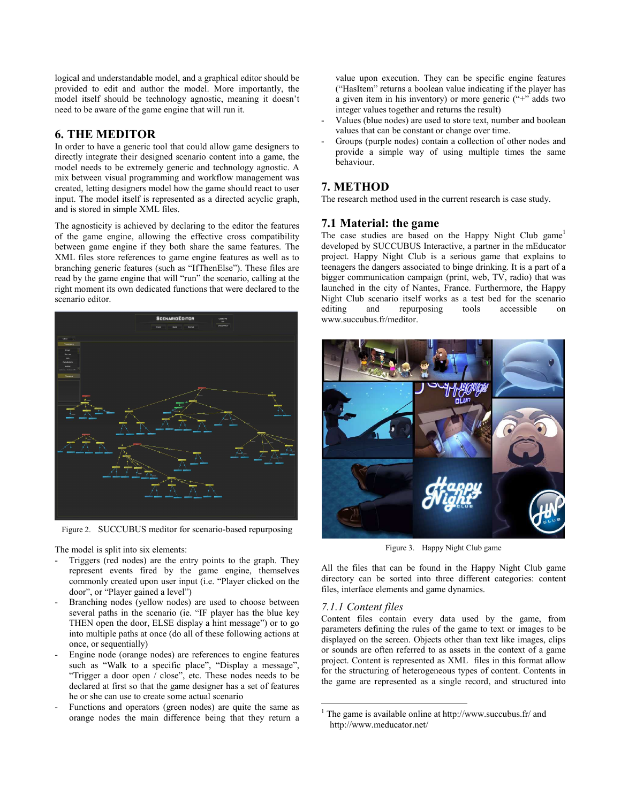logical and understandable model, and a graphical editor should be provided to edit and author the model. More importantly, the model itself should be technology agnostic, meaning it doesn't need to be aware of the game engine that will run it.

# **6. THE MEDITOR**

In order to have a generic tool that could allow game designers to directly integrate their designed scenario content into a game, the model needs to be extremely generic and technology agnostic. A mix between visual programming and workflow management was created, letting designers model how the game should react to user input. The model itself is represented as a directed acyclic graph, and is stored in simple XML files.

The agnosticity is achieved by declaring to the editor the features of the game engine, allowing the effective cross compatibility between game engine if they both share the same features. The XML files store references to game engine features as well as to branching generic features (such as "IfThenElse"). These files are read by the game engine that will "run" the scenario, calling at the right moment its own dedicated functions that were declared to the scenario editor.



Figure 2. SUCCUBUS meditor for scenario-based repurposing

The model is split into six elements:

- Triggers (red nodes) are the entry points to the graph. They represent events fired by the game engine, themselves commonly created upon user input (i.e. "Player clicked on the door", or "Player gained a level")
- Branching nodes (yellow nodes) are used to choose between several paths in the scenario (ie. "IF player has the blue key THEN open the door, ELSE display a hint message") or to go into multiple paths at once (do all of these following actions at once, or sequentially)
- Engine node (orange nodes) are references to engine features such as "Walk to a specific place", "Display a message", "Trigger a door open / close", etc. These nodes needs to be declared at first so that the game designer has a set of features he or she can use to create some actual scenario
- Functions and operators (green nodes) are quite the same as orange nodes the main difference being that they return a

value upon execution. They can be specific engine features ("HasItem" returns a boolean value indicating if the player has a given item in his inventory) or more generic ("+" adds two integer values together and returns the result)

- Values (blue nodes) are used to store text, number and boolean values that can be constant or change over time.
- Groups (purple nodes) contain a collection of other nodes and provide a simple way of using multiple times the same behaviour.

#### **7. METHOD**

The research method used in the current research is case study.

#### **7.1 Material: the game**

The case studies are based on the Happy Night Club game<sup>1</sup> developed by SUCCUBUS Interactive, a partner in the mEducator project. Happy Night Club is a serious game that explains to teenagers the dangers associated to binge drinking. It is a part of a bigger communication campaign (print, web, TV, radio) that was launched in the city of Nantes, France. Furthermore, the Happy Night Club scenario itself works as a test bed for the scenario editing and repurposing tools accessible on editing and repurposing tools accessible on www.succubus.fr/meditor.



Figure 3. Happy Night Club game

All the files that can be found in the Happy Night Club game directory can be sorted into three different categories: content files, interface elements and game dynamics.

#### *7.1.1 Content files*

-

Content files contain every data used by the game, from parameters defining the rules of the game to text or images to be displayed on the screen. Objects other than text like images, clips or sounds are often referred to as assets in the context of a game project. Content is represented as XML files in this format allow for the structuring of heterogeneous types of content. Contents in the game are represented as a single record, and structured into

<sup>&</sup>lt;sup>1</sup> The game is available online at http://www.succubus.fr/ and http://www.meducator.net/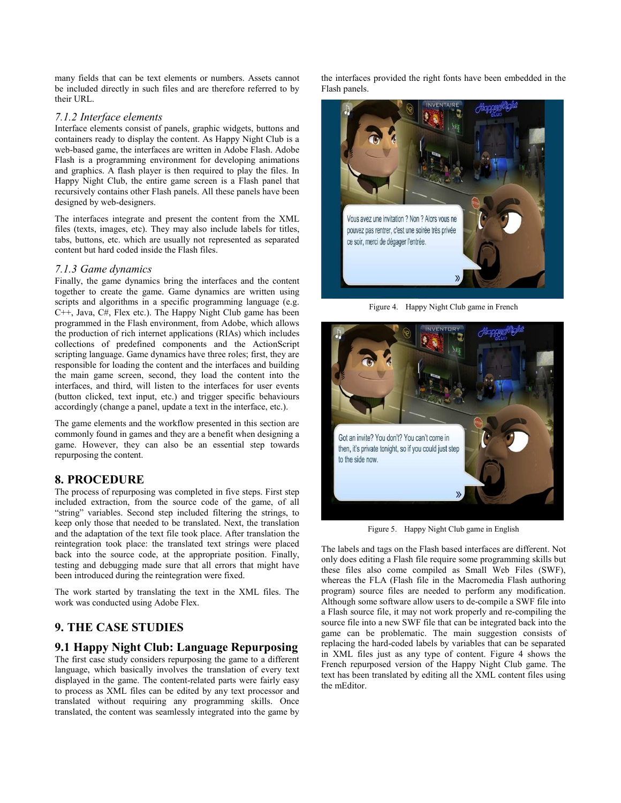many fields that can be text elements or numbers. Assets cannot be included directly in such files and are therefore referred to by their URL.

#### *7.1.2 Interface elements*

Interface elements consist of panels, graphic widgets, buttons and containers ready to display the content. As Happy Night Club is a web-based game, the interfaces are written in Adobe Flash. Adobe Flash is a programming environment for developing animations and graphics. A flash player is then required to play the files. In Happy Night Club, the entire game screen is a Flash panel that recursively contains other Flash panels. All these panels have been designed by web-designers.

The interfaces integrate and present the content from the XML files (texts, images, etc). They may also include labels for titles, tabs, buttons, etc. which are usually not represented as separated content but hard coded inside the Flash files.

#### *7.1.3 Game dynamics*

Finally, the game dynamics bring the interfaces and the content together to create the game. Game dynamics are written using scripts and algorithms in a specific programming language (e.g. C++, Java, C#, Flex etc.). The Happy Night Club game has been programmed in the Flash environment, from Adobe, which allows the production of rich internet applications (RIAs) which includes collections of predefined components and the ActionScript scripting language. Game dynamics have three roles; first, they are responsible for loading the content and the interfaces and building the main game screen, second, they load the content into the interfaces, and third, will listen to the interfaces for user events (button clicked, text input, etc.) and trigger specific behaviours accordingly (change a panel, update a text in the interface, etc.).

The game elements and the workflow presented in this section are commonly found in games and they are a benefit when designing a game. However, they can also be an essential step towards repurposing the content.

# **8. PROCEDURE**

The process of repurposing was completed in five steps. First step included extraction, from the source code of the game, of all "string" variables. Second step included filtering the strings, to keep only those that needed to be translated. Next, the translation and the adaptation of the text file took place. After translation the reintegration took place: the translated text strings were placed back into the source code, at the appropriate position. Finally, testing and debugging made sure that all errors that might have been introduced during the reintegration were fixed.

The work started by translating the text in the XML files. The work was conducted using Adobe Flex.

# **9. THE CASE STUDIES**

#### **9.1 Happy Night Club: Language Repurposing**

The first case study considers repurposing the game to a different language, which basically involves the translation of every text displayed in the game. The content-related parts were fairly easy to process as XML files can be edited by any text processor and translated without requiring any programming skills. Once translated, the content was seamlessly integrated into the game by

the interfaces provided the right fonts have been embedded in the Flash panels.



Figure 4. Happy Night Club game in French



Figure 5. Happy Night Club game in English

The labels and tags on the Flash based interfaces are different. Not only does editing a Flash file require some programming skills but these files also come compiled as Small Web Files (SWF), whereas the FLA (Flash file in the Macromedia Flash authoring program) source files are needed to perform any modification. Although some software allow users to de-compile a SWF file into a Flash source file, it may not work properly and re-compiling the source file into a new SWF file that can be integrated back into the game can be problematic. The main suggestion consists of replacing the hard-coded labels by variables that can be separated in XML files just as any type of content. Figure 4 shows the French repurposed version of the Happy Night Club game. The text has been translated by editing all the XML content files using the mEditor.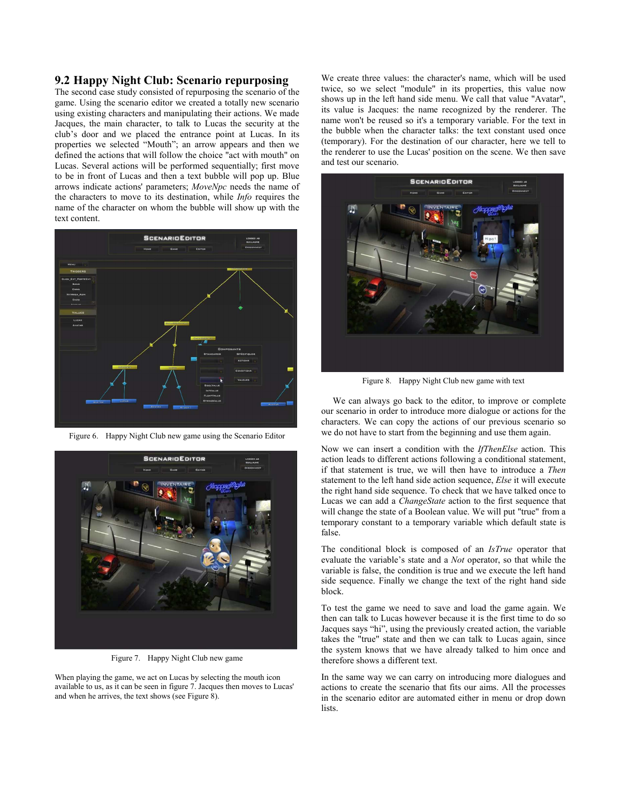#### **9.2 Happy Night Club: Scenario repurposing**

The second case study consisted of repurposing the scenario of the game. Using the scenario editor we created a totally new scenario using existing characters and manipulating their actions. We made Jacques, the main character, to talk to Lucas the security at the club's door and we placed the entrance point at Lucas. In its properties we selected "Mouth"; an arrow appears and then we defined the actions that will follow the choice "act with mouth" on Lucas. Several actions will be performed sequentially; first move to be in front of Lucas and then a text bubble will pop up. Blue arrows indicate actions' parameters; *MoveNpc* needs the name of the characters to move to its destination, while *Info* requires the name of the character on whom the bubble will show up with the text content.



Figure 6. Happy Night Club new game using the Scenario Editor



Figure 7. Happy Night Club new game

When playing the game, we act on Lucas by selecting the mouth icon available to us, as it can be seen in figure 7. Jacques then moves to Lucas' and when he arrives, the text shows (see Figure 8).

We create three values: the character's name, which will be used twice, so we select "module" in its properties, this value now shows up in the left hand side menu. We call that value "Avatar", its value is Jacques: the name recognized by the renderer. The name won't be reused so it's a temporary variable. For the text in the bubble when the character talks: the text constant used once (temporary). For the destination of our character, here we tell to the renderer to use the Lucas' position on the scene. We then save and test our scenario.



Figure 8. Happy Night Club new game with text

We can always go back to the editor, to improve or complete our scenario in order to introduce more dialogue or actions for the characters. We can copy the actions of our previous scenario so we do not have to start from the beginning and use them again.

Now we can insert a condition with the *IfThenElse* action. This action leads to different actions following a conditional statement, if that statement is true, we will then have to introduce a *Then* statement to the left hand side action sequence, *Else* it will execute the right hand side sequence. To check that we have talked once to Lucas we can add a *ChangeState* action to the first sequence that will change the state of a Boolean value. We will put "true" from a temporary constant to a temporary variable which default state is false.

The conditional block is composed of an *IsTrue* operator that evaluate the variable's state and a *Not* operator, so that while the variable is false, the condition is true and we execute the left hand side sequence. Finally we change the text of the right hand side block.

To test the game we need to save and load the game again. We then can talk to Lucas however because it is the first time to do so Jacques says "hi", using the previously created action, the variable takes the "true" state and then we can talk to Lucas again, since the system knows that we have already talked to him once and therefore shows a different text.

In the same way we can carry on introducing more dialogues and actions to create the scenario that fits our aims. All the processes in the scenario editor are automated either in menu or drop down lists.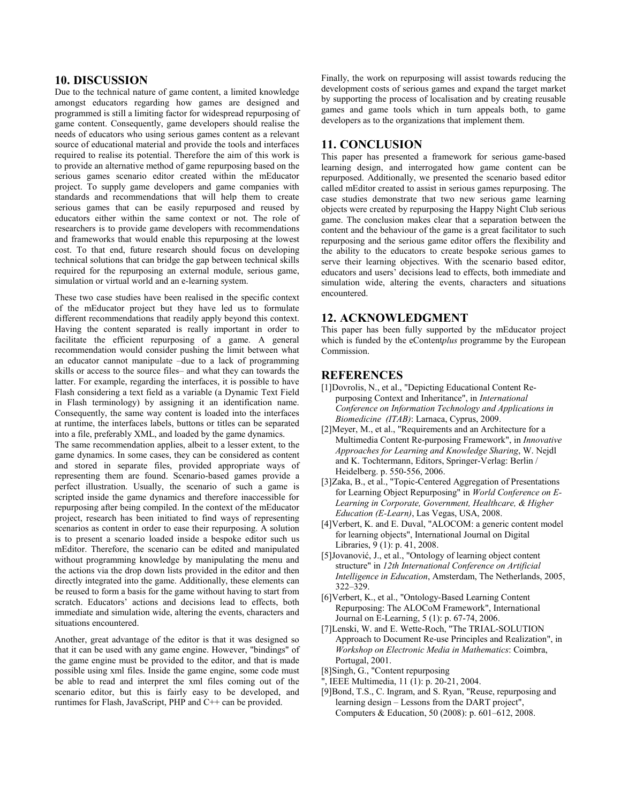#### **10. DISCUSSION**

Due to the technical nature of game content, a limited knowledge amongst educators regarding how games are designed and programmed is still a limiting factor for widespread repurposing of game content. Consequently, game developers should realise the needs of educators who using serious games content as a relevant source of educational material and provide the tools and interfaces required to realise its potential. Therefore the aim of this work is to provide an alternative method of game repurposing based on the serious games scenario editor created within the mEducator project. To supply game developers and game companies with standards and recommendations that will help them to create serious games that can be easily repurposed and reused by educators either within the same context or not. The role of researchers is to provide game developers with recommendations and frameworks that would enable this repurposing at the lowest cost. To that end, future research should focus on developing technical solutions that can bridge the gap between technical skills required for the repurposing an external module, serious game, simulation or virtual world and an e-learning system.

These two case studies have been realised in the specific context of the mEducator project but they have led us to formulate different recommendations that readily apply beyond this context. Having the content separated is really important in order to facilitate the efficient repurposing of a game. A general recommendation would consider pushing the limit between what an educator cannot manipulate –due to a lack of programming skills or access to the source files– and what they can towards the latter. For example, regarding the interfaces, it is possible to have Flash considering a text field as a variable (a Dynamic Text Field in Flash terminology) by assigning it an identification name. Consequently, the same way content is loaded into the interfaces at runtime, the interfaces labels, buttons or titles can be separated into a file, preferably XML, and loaded by the game dynamics.

The same recommendation applies, albeit to a lesser extent, to the game dynamics. In some cases, they can be considered as content and stored in separate files, provided appropriate ways of representing them are found. Scenario-based games provide a perfect illustration. Usually, the scenario of such a game is scripted inside the game dynamics and therefore inaccessible for repurposing after being compiled. In the context of the mEducator project, research has been initiated to find ways of representing scenarios as content in order to ease their repurposing. A solution is to present a scenario loaded inside a bespoke editor such us mEditor. Therefore, the scenario can be edited and manipulated without programming knowledge by manipulating the menu and the actions via the drop down lists provided in the editor and then directly integrated into the game. Additionally, these elements can be reused to form a basis for the game without having to start from scratch. Educators' actions and decisions lead to effects, both immediate and simulation wide, altering the events, characters and situations encountered.

Another, great advantage of the editor is that it was designed so that it can be used with any game engine. However, "bindings" of the game engine must be provided to the editor, and that is made possible using xml files. Inside the game engine, some code must be able to read and interpret the xml files coming out of the scenario editor, but this is fairly easy to be developed, and runtimes for Flash, JavaScript, PHP and C++ can be provided.

Finally, the work on repurposing will assist towards reducing the development costs of serious games and expand the target market by supporting the process of localisation and by creating reusable games and game tools which in turn appeals both, to game developers as to the organizations that implement them.

#### **11. CONCLUSION**

This paper has presented a framework for serious game-based learning design, and interrogated how game content can be repurposed. Additionally, we presented the scenario based editor called mEditor created to assist in serious games repurposing. The case studies demonstrate that two new serious game learning objects were created by repurposing the Happy Night Club serious game. The conclusion makes clear that a separation between the content and the behaviour of the game is a great facilitator to such repurposing and the serious game editor offers the flexibility and the ability to the educators to create bespoke serious games to serve their learning objectives. With the scenario based editor, educators and users' decisions lead to effects, both immediate and simulation wide, altering the events, characters and situations encountered.

#### **12. ACKNOWLEDGMENT**

This paper has been fully supported by the mEducator project which is funded by the eContent*plus* programme by the European Commission.

#### **REFERENCES**

- [1]Dovrolis, N., et al., "Depicting Educational Content Repurposing Context and Inheritance", in *International Conference on Information Technology and Applications in Biomedicine (ITAB)*: Larnaca, Cyprus, 2009.
- [2]Meyer, M., et al., "Requirements and an Architecture for a Multimedia Content Re-purposing Framework", in *Innovative Approaches for Learning and Knowledge Sharing*, W. Nejdl and K. Tochtermann, Editors, Springer-Verlag: Berlin / Heidelberg. p. 550-556, 2006.
- [3]Zaka, B., et al., "Topic-Centered Aggregation of Presentations for Learning Object Repurposing" in *World Conference on E-Learning in Corporate, Government, Healthcare, & Higher Education (E-Learn)*, Las Vegas, USA, 2008.
- [4]Verbert, K. and E. Duval, "ALOCOM: a generic content model for learning objects", International Journal on Digital Libraries, 9 (1): p. 41, 2008.
- [5]Jovanović, J., et al., "Ontology of learning object content structure" in *12th International Conference on Artificial Intelligence in Education*, Amsterdam, The Netherlands, 2005, 322–329.
- [6]Verbert, K., et al., "Ontology-Based Learning Content Repurposing: The ALOCoM Framework", International Journal on E-Learning, 5 (1): p. 67-74, 2006.
- [7]Lenski, W. and E. Wette-Roch, "The TRIAL-SOLUTION Approach to Document Re-use Principles and Realization", in *Workshop on Electronic Media in Mathematics*: Coimbra, Portugal, 2001.
- [8]Singh, G., "Content repurposing
- ", IEEE Multimedia, 11 (1): p. 20-21, 2004.
- [9]Bond, T.S., C. Ingram, and S. Ryan, "Reuse, repurposing and learning design – Lessons from the DART project", Computers & Education, 50 (2008): p. 601–612, 2008.